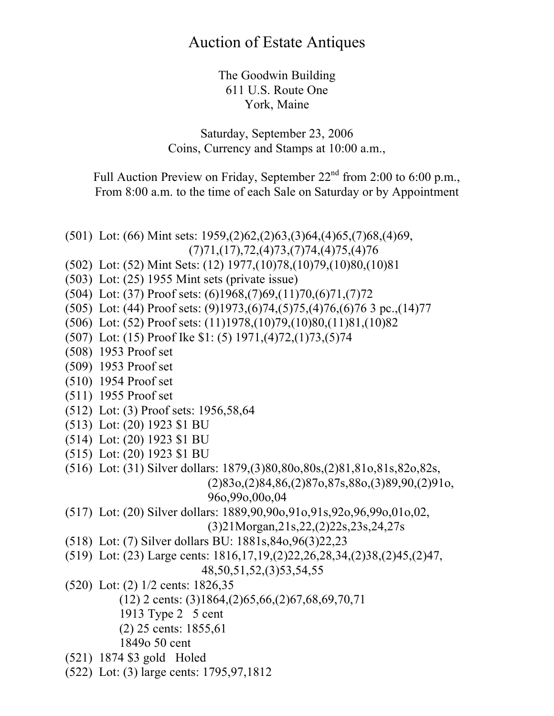## Auction of Estate Antiques

The Goodwin Building 611 U.S. Route One York, Maine

Saturday, September 23, 2006 Coins, Currency and Stamps at 10:00 a.m.,

Full Auction Preview on Friday, September  $22<sup>nd</sup>$  from 2:00 to 6:00 p.m., From 8:00 a.m. to the time of each Sale on Saturday or by Appointment

(501) Lot: (66) Mint sets: 1959,(2)62,(2)63,(3)64,(4)65,(7)68,(4)69, (7)71,(17),72,(4)73,(7)74,(4)75,(4)76

- (502) Lot: (52) Mint Sets: (12) 1977,(10)78,(10)79,(10)80,(10)81
- (503) Lot: (25) 1955 Mint sets (private issue)
- (504) Lot: (37) Proof sets: (6)1968,(7)69,(11)70,(6)71,(7)72
- (505) Lot: (44) Proof sets: (9)1973,(6)74,(5)75,(4)76,(6)76 3 pc.,(14)77
- (506) Lot: (52) Proof sets: (11)1978,(10)79,(10)80,(11)81,(10)82
- (507) Lot: (15) Proof Ike \$1: (5) 1971,(4)72,(1)73,(5)74
- (508) 1953 Proof set
- (509) 1953 Proof set
- (510) 1954 Proof set
- (511) 1955 Proof set
- (512) Lot: (3) Proof sets: 1956,58,64
- (513) Lot: (20) 1923 \$1 BU
- (514) Lot: (20) 1923 \$1 BU
- (515) Lot: (20) 1923 \$1 BU
- (516) Lot: (31) Silver dollars: 1879,(3)80,80o,80s,(2)81,81o,81s,82o,82s,

(2)83o,(2)84,86,(2)87o,87s,88o,(3)89,90,(2)91o, 96o,99o,00o,04

(517) Lot: (20) Silver dollars: 1889,90,90o,91o,91s,92o,96,99o,01o,02,

(3)21Morgan,21s,22,(2)22s,23s,24,27s

- (518) Lot: (7) Silver dollars BU: 1881s,84o,96(3)22,23
- (519) Lot: (23) Large cents: 1816,17,19,(2)22,26,28,34,(2)38,(2)45,(2)47, 48,50,51,52,(3)53,54,55
- (520) Lot: (2) 1/2 cents: 1826,35
	- (12) 2 cents: (3)1864,(2)65,66,(2)67,68,69,70,71
	- 1913 Type 2 5 cent
	- (2) 25 cents: 1855,61
	- 1849o 50 cent
- (521) 1874 \$3 gold Holed
- (522) Lot: (3) large cents: 1795,97,1812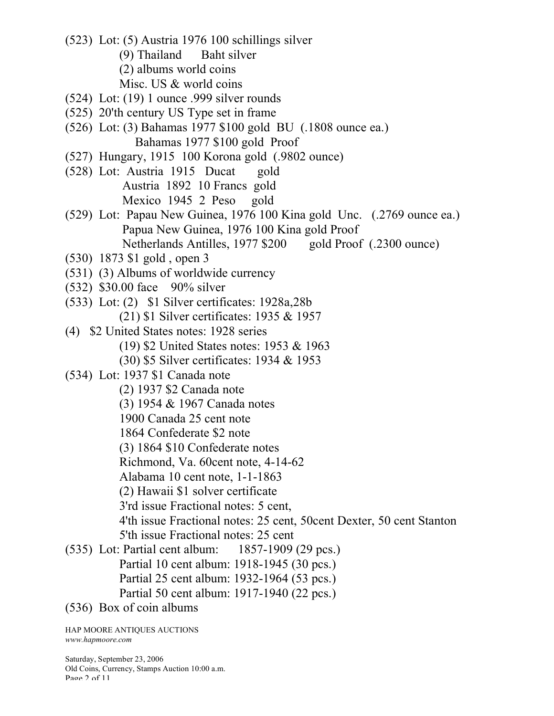- (523) Lot: (5) Austria 1976 100 schillings silver (9) Thailand Baht silver (2) albums world coins
	- Misc. US & world coins
- (524) Lot: (19) 1 ounce .999 silver rounds
- (525) 20'th century US Type set in frame
- (526) Lot: (3) Bahamas 1977 \$100 gold BU (.1808 ounce ea.) Bahamas 1977 \$100 gold Proof
- (527) Hungary, 1915 100 Korona gold (.9802 ounce)
- (528) Lot: Austria 1915 Ducat gold Austria 1892 10 Francs gold Mexico 1945 2 Peso gold
- (529) Lot: Papau New Guinea, 1976 100 Kina gold Unc. (.2769 ounce ea.) Papua New Guinea, 1976 100 Kina gold Proof Netherlands Antilles, 1977 \$200 gold Proof (.2300 ounce)
- (530) 1873 \$1 gold , open 3
- (531) (3) Albums of worldwide currency
- (532) \$30.00 face 90% silver
- (533) Lot: (2) \$1 Silver certificates: 1928a,28b (21) \$1 Silver certificates: 1935 & 1957
- (4) \$2 United States notes: 1928 series (19) \$2 United States notes: 1953 & 1963
	- (30) \$5 Silver certificates: 1934 & 1953
- (534) Lot: 1937 \$1 Canada note
	- (2) 1937 \$2 Canada note
	- (3) 1954 & 1967 Canada notes
	- 1900 Canada 25 cent note
	- 1864 Confederate \$2 note
	- (3) 1864 \$10 Confederate notes
	- Richmond, Va. 60cent note, 4-14-62
	- Alabama 10 cent note, 1-1-1863
	- (2) Hawaii \$1 solver certificate
	- 3'rd issue Fractional notes: 5 cent,
	- 4'th issue Fractional notes: 25 cent, 50cent Dexter, 50 cent Stanton 5'th issue Fractional notes: 25 cent
- (535) Lot: Partial cent album: 1857-1909 (29 pcs.)
	- Partial 10 cent album: 1918-1945 (30 pcs.)
	- Partial 25 cent album: 1932-1964 (53 pcs.)
	- Partial 50 cent album: 1917-1940 (22 pcs.)
- (536) Box of coin albums

HAP MOORE ANTIQUES AUCTIONS *www.hapmoore.com*

Saturday, September 23, 2006 Old Coins, Currency, Stamps Auction 10:00 a.m. Page 2 of 11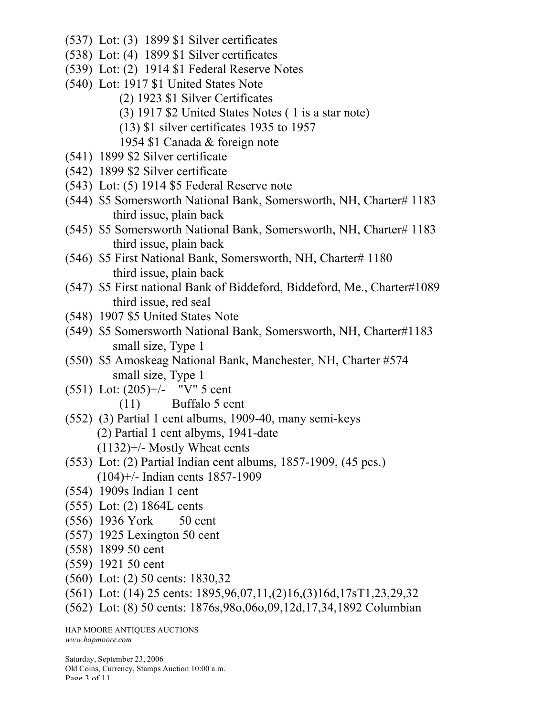- (537) Lot: (3) 1899 \$1 Silver certificates
- (538) Lot: (4) 1899 \$1 Silver certificates
- (539) Lot: (2) 1914 \$1 Federal Reserve Notes
- (540) Lot: 1917 \$1 United States Note
	- (2) 1923 \$1 Silver Certificates
	- (3) 1917 \$2 United States Notes ( 1 is a star note)
	- (13) \$1 silver certificates 1935 to 1957
	- 1954 \$1 Canada & foreign note
- (541) 1899 \$2 Silver certificate
- (542) 1899 \$2 Silver certificate
- (543) Lot: (5) 1914 \$5 Federal Reserve note
- (544) \$5 Somersworth National Bank, Somersworth, NH, Charter# 1183 third issue, plain back
- (545) \$5 Somersworth National Bank, Somersworth, NH, Charter# 1183 third issue, plain back
- (546) \$5 First National Bank, Somersworth, NH, Charter# 1180 third issue, plain back
- (547) \$5 First national Bank of Biddeford, Biddeford, Me., Charter#1089 third issue, red seal
- (548) 1907 \$5 United States Note
- (549) \$5 Somersworth National Bank, Somersworth, NH, Charter#1183 small size, Type 1
- (550) \$5 Amoskeag National Bank, Manchester, NH, Charter #574 small size, Type 1
- (551) Lot: (205)+/- "V" 5 cent
	- (11) Buffalo 5 cent
- (552) (3) Partial 1 cent albums, 1909-40, many semi-keys (2) Partial 1 cent albyms, 1941-date (1132)+/- Mostly Wheat cents
- (553) Lot: (2) Partial Indian cent albums, 1857-1909, (45 pcs.) (104)+/- Indian cents 1857-1909
- (554) 1909s Indian 1 cent
- (555) Lot: (2) 1864L cents
- (556) 1936 York 50 cent
- (557) 1925 Lexington 50 cent
- (558) 1899 50 cent
- (559) 1921 50 cent
- (560) Lot: (2) 50 cents: 1830,32
- (561) Lot: (14) 25 cents: 1895,96,07,11,(2)16,(3)16d,17sT1,23,29,32
- (562) Lot: (8) 50 cents: 1876s,98o,06o,09,12d,17,34,1892 Columbian

HAP MOORE ANTIQUES AUCTIONS *www.hapmoore.com*

Saturday, September 23, 2006 Old Coins, Currency, Stamps Auction 10:00 a.m. Page 3 of 11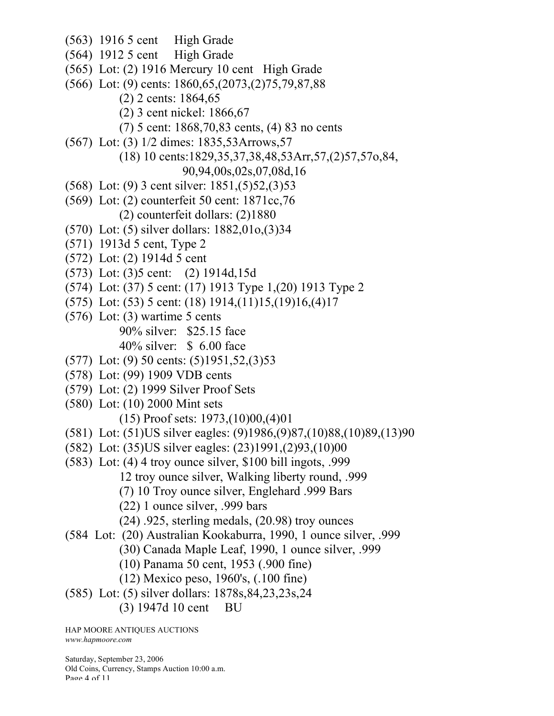- (563) 1916 5 cent High Grade
- (564) 1912 5 cent High Grade
- (565) Lot: (2) 1916 Mercury 10 cent High Grade
- (566) Lot: (9) cents: 1860,65,(2073,(2)75,79,87,88
	- (2) 2 cents: 1864,65
	- (2) 3 cent nickel: 1866,67
	- (7) 5 cent: 1868,70,83 cents, (4) 83 no cents
- (567) Lot: (3) 1/2 dimes: 1835,53Arrows,57
	- (18) 10 cents:1829,35,37,38,48,53Arr,57,(2)57,57o,84,
		- 90,94,00s,02s,07,08d,16
- (568) Lot: (9) 3 cent silver: 1851,(5)52,(3)53
- (569) Lot: (2) counterfeit 50 cent: 1871cc,76 (2) counterfeit dollars: (2)1880
- (570) Lot: (5) silver dollars: 1882,01o,(3)34
- (571) 1913d 5 cent, Type 2
- (572) Lot: (2) 1914d 5 cent
- (573) Lot: (3)5 cent: (2) 1914d,15d
- (574) Lot: (37) 5 cent: (17) 1913 Type 1,(20) 1913 Type 2
- (575) Lot: (53) 5 cent: (18) 1914,(11)15,(19)16,(4)17
- $(576)$  Lot: (3) wartime 5 cents 90% silver: \$25.15 face 40% silver: \$ 6.00 face
- (577) Lot: (9) 50 cents: (5)1951,52,(3)53
- (578) Lot: (99) 1909 VDB cents
- (579) Lot: (2) 1999 Silver Proof Sets
- (580) Lot: (10) 2000 Mint sets (15) Proof sets: 1973,(10)00,(4)01
- (581) Lot: (51)US silver eagles: (9)1986,(9)87,(10)88,(10)89,(13)90
- (582) Lot: (35)US silver eagles: (23)1991,(2)93,(10)00
- (583) Lot: (4) 4 troy ounce silver, \$100 bill ingots, .999 12 troy ounce silver, Walking liberty round, .999
	- (7) 10 Troy ounce silver, Englehard .999 Bars
	- (22) 1 ounce silver, .999 bars
	- (24) .925, sterling medals, (20.98) troy ounces
- (584 Lot: (20) Australian Kookaburra, 1990, 1 ounce silver, .999
	- (30) Canada Maple Leaf, 1990, 1 ounce silver, .999
	- (10) Panama 50 cent, 1953 (.900 fine)
	- (12) Mexico peso, 1960's, (.100 fine)
- (585) Lot: (5) silver dollars: 1878s,84,23,23s,24
	- (3) 1947d 10 cent BU

HAP MOORE ANTIQUES AUCTIONS *www.hapmoore.com*

Saturday, September 23, 2006 Old Coins, Currency, Stamps Auction 10:00 a.m. Page 4 of 11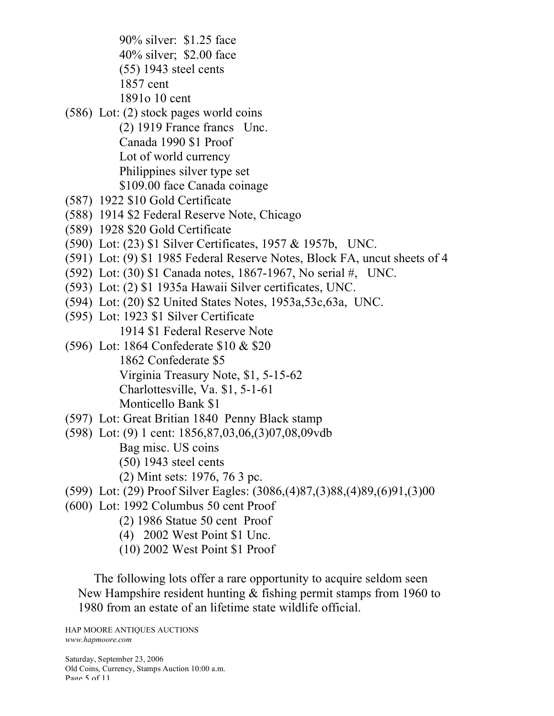90% silver: \$1.25 face 40% silver; \$2.00 face (55) 1943 steel cents

1857 cent

1891o 10 cent

- (586) Lot: (2) stock pages world coins
	- (2) 1919 France francs Unc. Canada 1990 \$1 Proof Lot of world currency Philippines silver type set \$109.00 face Canada coinage
- (587) 1922 \$10 Gold Certificate
- (588) 1914 \$2 Federal Reserve Note, Chicago
- (589) 1928 \$20 Gold Certificate
- (590) Lot: (23) \$1 Silver Certificates, 1957 & 1957b, UNC.
- (591) Lot: (9) \$1 1985 Federal Reserve Notes, Block FA, uncut sheets of 4
- (592) Lot: (30) \$1 Canada notes, 1867-1967, No serial #, UNC.
- (593) Lot: (2) \$1 1935a Hawaii Silver certificates, UNC.
- (594) Lot: (20) \$2 United States Notes, 1953a,53c,63a, UNC.
- (595) Lot: 1923 \$1 Silver Certificate 1914 \$1 Federal Reserve Note
- (596) Lot: 1864 Confederate \$10 & \$20 1862 Confederate \$5 Virginia Treasury Note, \$1, 5-15-62 Charlottesville, Va. \$1, 5-1-61 Monticello Bank \$1
- (597) Lot: Great Britian 1840 Penny Black stamp
- (598) Lot: (9) 1 cent: 1856,87,03,06,(3)07,08,09vdb Bag misc. US coins (50) 1943 steel cents
	- (2) Mint sets: 1976, 76 3 pc.
- (599) Lot: (29) Proof Silver Eagles: (3086,(4)87,(3)88,(4)89,(6)91,(3)00
- (600) Lot: 1992 Columbus 50 cent Proof
	- (2) 1986 Statue 50 cent Proof
	- (4) 2002 West Point \$1 Unc.
	- (10) 2002 West Point \$1 Proof

The following lots offer a rare opportunity to acquire seldom seen New Hampshire resident hunting & fishing permit stamps from 1960 to 1980 from an estate of an lifetime state wildlife official.

HAP MOORE ANTIQUES AUCTIONS *www.hapmoore.com*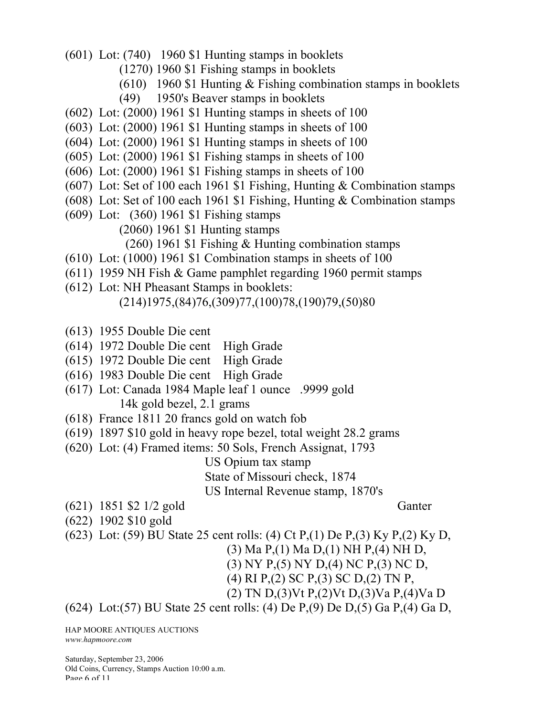- (601) Lot: (740) 1960 \$1 Hunting stamps in booklets
	- (1270) 1960 \$1 Fishing stamps in booklets
		- (610) 1960 \$1 Hunting & Fishing combination stamps in booklets
		- (49) 1950's Beaver stamps in booklets
- (602) Lot: (2000) 1961 \$1 Hunting stamps in sheets of 100
- (603) Lot: (2000) 1961 \$1 Hunting stamps in sheets of 100
- (604) Lot: (2000) 1961 \$1 Hunting stamps in sheets of 100
- (605) Lot: (2000) 1961 \$1 Fishing stamps in sheets of 100
- (606) Lot: (2000) 1961 \$1 Fishing stamps in sheets of 100
- (607) Lot: Set of 100 each 1961 \$1 Fishing, Hunting & Combination stamps
- (608) Lot: Set of 100 each 1961 \$1 Fishing, Hunting & Combination stamps
- (609) Lot: (360) 1961 \$1 Fishing stamps
	- (2060) 1961 \$1 Hunting stamps
		- (260) 1961 \$1 Fishing & Hunting combination stamps
- (610) Lot: (1000) 1961 \$1 Combination stamps in sheets of 100
- (611) 1959 NH Fish & Game pamphlet regarding 1960 permit stamps
- (612) Lot: NH Pheasant Stamps in booklets:
	- (214)1975,(84)76,(309)77,(100)78,(190)79,(50)80
- (613) 1955 Double Die cent
- (614) 1972 Double Die cent High Grade
- (615) 1972 Double Die cent High Grade
- (616) 1983 Double Die cent High Grade
- (617) Lot: Canada 1984 Maple leaf 1 ounce .9999 gold 14k gold bezel, 2.1 grams
- (618) France 1811 20 francs gold on watch fob
- (619) 1897 \$10 gold in heavy rope bezel, total weight 28.2 grams
- (620) Lot: (4) Framed items: 50 Sols, French Assignat, 1793

US Opium tax stamp State of Missouri check, 1874 US Internal Revenue stamp, 1870's

- (621) 1851 \$2 1/2 gold Ganter
	-
- (622) 1902 \$10 gold
- (623) Lot: (59) BU State 25 cent rolls: (4) Ct P,(1) De P,(3) Ky P,(2) Ky D,
	- (3) Ma P,(1) Ma D,(1) NH P,(4) NH D,
	- (3) NY P,(5) NY D,(4) NC P,(3) NC D,
	- (4) RI P,(2) SC P,(3) SC D,(2) TN P,
	- (2) TN D,(3)Vt P,(2)Vt D,(3)Va P,(4)Va D

(624) Lot:(57) BU State 25 cent rolls: (4) De P,(9) De D,(5) Ga P,(4) Ga D,

HAP MOORE ANTIQUES AUCTIONS *www.hapmoore.com*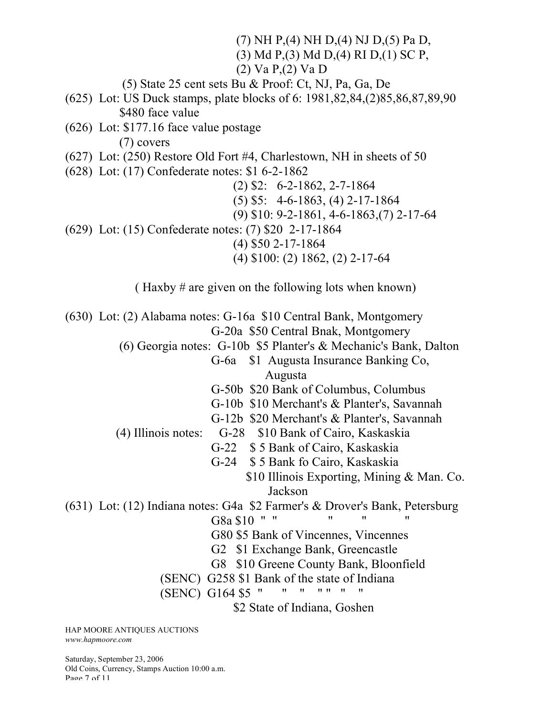(7) NH P,(4) NH D,(4) NJ D,(5) Pa D, (3) Md P,(3) Md D,(4) RI D,(1) SC P, (2) Va P,(2) Va D (5) State 25 cent sets Bu & Proof: Ct, NJ, Pa, Ga, De (625) Lot: US Duck stamps, plate blocks of 6: 1981,82,84,(2)85,86,87,89,90 \$480 face value (626) Lot: \$177.16 face value postage (7) covers (627) Lot: (250) Restore Old Fort #4, Charlestown, NH in sheets of 50 (628) Lot: (17) Confederate notes: \$1 6-2-1862 (2) \$2: 6-2-1862, 2-7-1864 (5) \$5: 4-6-1863, (4) 2-17-1864 (9) \$10: 9-2-1861, 4-6-1863,(7) 2-17-64 (629) Lot: (15) Confederate notes: (7) \$20 2-17-1864 (4) \$50 2-17-1864 (4) \$100: (2) 1862, (2) 2-17-64 ( Haxby # are given on the following lots when known) (630) Lot: (2) Alabama notes: G-16a \$10 Central Bank, Montgomery G-20a \$50 Central Bnak, Montgomery (6) Georgia notes: G-10b \$5 Planter's & Mechanic's Bank, Dalton G-6a \$1 Augusta Insurance Banking Co, Augusta G-50b \$20 Bank of Columbus, Columbus G-10b \$10 Merchant's & Planter's, Savannah G-12b \$20 Merchant's & Planter's, Savannah (4) Illinois notes: G-28 \$10 Bank of Cairo, Kaskaskia G-22 \$ 5 Bank of Cairo, Kaskaskia G-24 \$ 5 Bank fo Cairo, Kaskaskia \$10 Illinois Exporting, Mining & Man. Co. Jackson (631) Lot: (12) Indiana notes: G4a \$2 Farmer's & Drover's Bank, Petersburg G8a \$10 " " " " G80 \$5 Bank of Vincennes, Vincennes G2 \$1 Exchange Bank, Greencastle G8 \$10 Greene County Bank, Bloonfield (SENC) G258 \$1 Bank of the state of Indiana<br>(SENC) G164 \$5 " " " " " " " (SENC) G164 \$5 " " " " " " " \$2 State of Indiana, Goshen

HAP MOORE ANTIQUES AUCTIONS *www.hapmoore.com*

Saturday, September 23, 2006 Old Coins, Currency, Stamps Auction 10:00 a.m. Page 7 of 11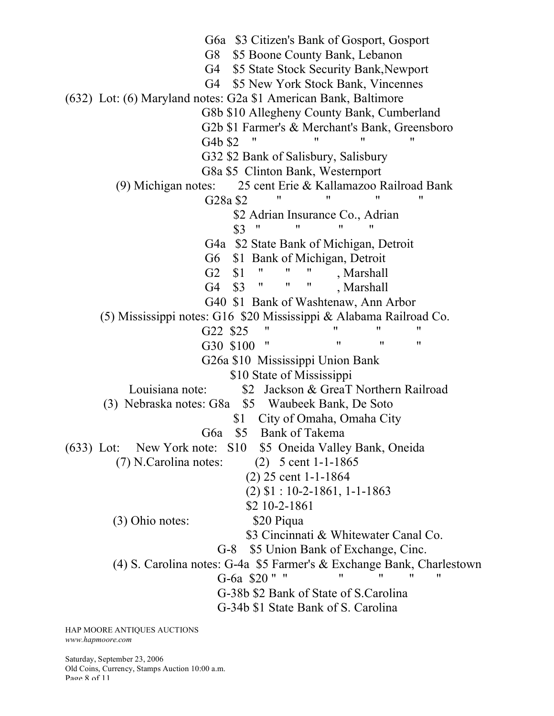G6a \$3 Citizen's Bank of Gosport, Gosport G8 \$5 Boone County Bank, Lebanon G4 \$5 State Stock Security Bank,Newport G4 \$5 New York Stock Bank, Vincennes (632) Lot: (6) Maryland notes: G2a \$1 American Bank, Baltimore G8b \$10 Allegheny County Bank, Cumberland G2b \$1 Farmer's & Merchant's Bank, Greensboro G4b \$2 " G32 \$2 Bank of Salisbury, Salisbury G8a \$5 Clinton Bank, Westernport (9) Michigan notes: 25 cent Erie & Kallamazoo Railroad Bank  $G28a$  \$2 " " \$2 Adrian Insurance Co., Adrian \$3 " " " " G4a \$2 State Bank of Michigan, Detroit G6 \$1 Bank of Michigan, Detroit G2 \$1 " " " , Marshall G4 \$3 " " " , Marshall G40 \$1 Bank of Washtenaw, Ann Arbor (5) Mississippi notes: G16 \$20 Mississippi & Alabama Railroad Co. G22  $$25$  " " "<br>G20  $$100$  " " " " G30 \$100 " G26a \$10 Mississippi Union Bank \$10 State of Mississippi Louisiana note: \$2 Jackson & GreaT Northern Railroad (3) Nebraska notes: G8a \$5 Waubeek Bank, De Soto \$1 City of Omaha, Omaha City G6a \$5 Bank of Takema (633) Lot: New York note: S10 \$5 Oneida Valley Bank, Oneida (7) N.Carolina notes: (2) 5 cent 1-1-1865 (2) 25 cent 1-1-1864 (2) \$1 : 10-2-1861, 1-1-1863 \$2 10-2-1861 (3) Ohio notes: \$20 Piqua \$3 Cincinnati & Whitewater Canal Co. G-8 \$5 Union Bank of Exchange, Cinc. (4) S. Carolina notes: G-4a \$5 Farmer's & Exchange Bank, Charlestown G-6a \$20" " " " " " G-38b \$2 Bank of State of S.Carolina G-34b \$1 State Bank of S. Carolina

HAP MOORE ANTIQUES AUCTIONS *www.hapmoore.com*

Saturday, September 23, 2006 Old Coins, Currency, Stamps Auction 10:00 a.m. Page 8 of 11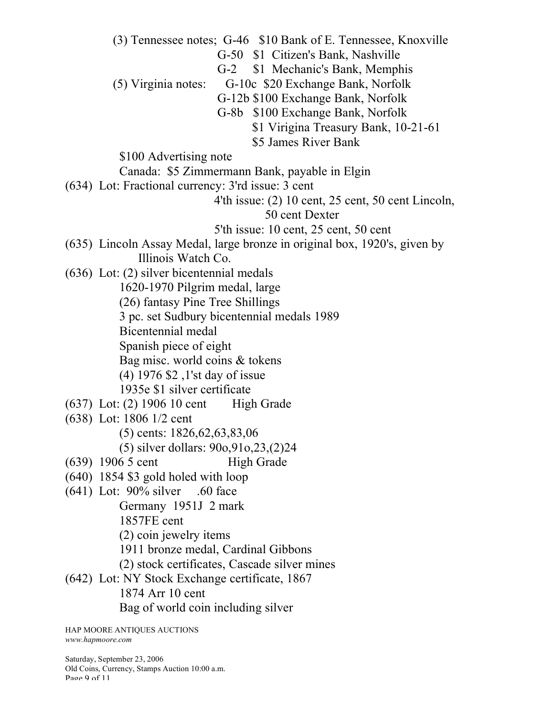(3) Tennessee notes; G-46 \$10 Bank of E. Tennessee, Knoxville G-50 \$1 Citizen's Bank, Nashville

G-2 \$1 Mechanic's Bank, Memphis

(5) Virginia notes: G-10c \$20 Exchange Bank, Norfolk

G-12b \$100 Exchange Bank, Norfolk

- G-8b \$100 Exchange Bank, Norfolk
	- \$1 Virigina Treasury Bank, 10-21-61
	- \$5 James River Bank

\$100 Advertising note

Canada: \$5 Zimmermann Bank, payable in Elgin

(634) Lot: Fractional currency: 3'rd issue: 3 cent

4'th issue: (2) 10 cent, 25 cent, 50 cent Lincoln,

50 cent Dexter

5'th issue: 10 cent, 25 cent, 50 cent

- (635) Lincoln Assay Medal, large bronze in original box, 1920's, given by Illinois Watch Co.
- (636) Lot: (2) silver bicentennial medals

1620-1970 Pilgrim medal, large

- (26) fantasy Pine Tree Shillings
- 3 pc. set Sudbury bicentennial medals 1989

Bicentennial medal

Spanish piece of eight

Bag misc. world coins & tokens

(4) 1976 \$2 ,1'st day of issue

1935e \$1 silver certificate

- (637) Lot: (2) 1906 10 cent High Grade
- (638) Lot: 1806 1/2 cent
	- (5) cents: 1826,62,63,83,06

(5) silver dollars: 90o,91o,23,(2)24

- (639) 1906 5 cent High Grade
- (640) 1854 \$3 gold holed with loop
- $(641)$  Lot: 90% silver .60 face

Germany 1951J 2 mark

1857FE cent

- (2) coin jewelry items
- 1911 bronze medal, Cardinal Gibbons

(2) stock certificates, Cascade silver mines

(642) Lot: NY Stock Exchange certificate, 1867 1874 Arr 10 cent Bag of world coin including silver

HAP MOORE ANTIQUES AUCTIONS *www.hapmoore.com*

Saturday, September 23, 2006 Old Coins, Currency, Stamps Auction 10:00 a.m. Page 9 of 11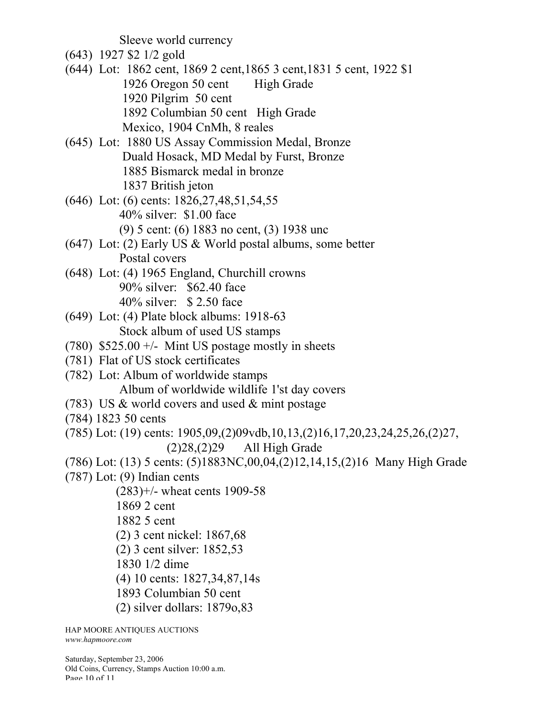Sleeve world currency

- (643) 1927 \$2 1/2 gold
- (644) Lot: 1862 cent, 1869 2 cent,1865 3 cent,1831 5 cent, 1922 \$1 1926 Oregon 50 cent High Grade 1920 Pilgrim 50 cent 1892 Columbian 50 cent High Grade Mexico, 1904 CnMh, 8 reales
- (645) Lot: 1880 US Assay Commission Medal, Bronze Duald Hosack, MD Medal by Furst, Bronze 1885 Bismarck medal in bronze 1837 British jeton
- (646) Lot: (6) cents: 1826,27,48,51,54,55 40% silver: \$1.00 face (9) 5 cent: (6) 1883 no cent, (3) 1938 unc
- (647) Lot: (2) Early US & World postal albums, some better Postal covers
- (648) Lot: (4) 1965 England, Churchill crowns 90% silver: \$62.40 face 40% silver: \$ 2.50 face
- (649) Lot: (4) Plate block albums: 1918-63 Stock album of used US stamps
- (780)  $$525.00 +/-$  Mint US postage mostly in sheets
- (781) Flat of US stock certificates
- (782) Lot: Album of worldwide stamps Album of worldwide wildlife 1'st day covers
- (783) US & world covers and used & mint postage
- (784) 1823 50 cents
- (785) Lot: (19) cents: 1905,09,(2)09vdb,10,13,(2)16,17,20,23,24,25,26,(2)27, (2)28,(2)29 All High Grade
- (786) Lot: (13) 5 cents: (5)1883NC,00,04,(2)12,14,15,(2)16 Many High Grade
- (787) Lot: (9) Indian cents
	- (283)+/- wheat cents 1909-58
	- 1869 2 cent
	- 1882 5 cent
	- (2) 3 cent nickel: 1867,68
	- (2) 3 cent silver: 1852,53
	- 1830 1/2 dime
	- (4) 10 cents: 1827,34,87,14s
	- 1893 Columbian 50 cent
	- (2) silver dollars: 1879o,83

HAP MOORE ANTIQUES AUCTIONS *www.hapmoore.com*

Saturday, September 23, 2006 Old Coins, Currency, Stamps Auction 10:00 a.m. Page 10 of 11